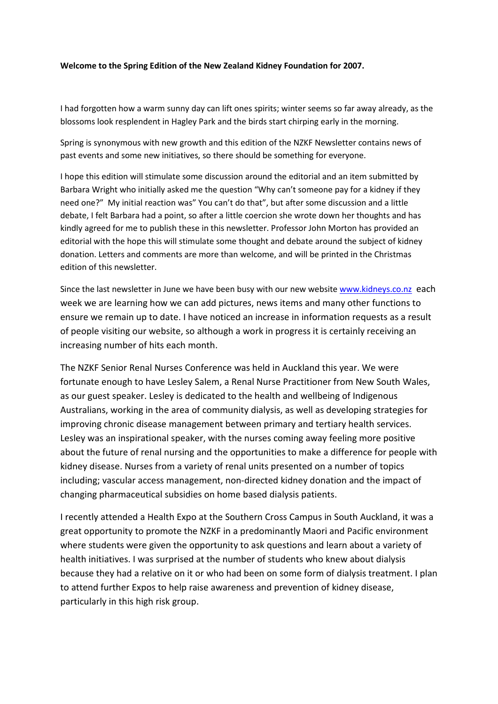#### Welcome to the Spring Edition of the New Zealand Kidney Foundation for 2007.

I had forgotten how a warm sunny day can lift ones spirits; winter seems so far away already, as the blossoms look resplendent in Hagley Park and the birds start chirping early in the morning.

Spring is synonymous with new growth and this edition of the NZKF Newsletter contains news of past events and some new initiatives, so there should be something for everyone.

I hope this edition will stimulate some discussion around the editorial and an item submitted by Barbara Wright who initially asked me the question "Why can't someone pay for a kidney if they need one?" My initial reaction was" You can't do that", but after some discussion and a little debate, I felt Barbara had a point, so after a little coercion she wrote down her thoughts and has kindly agreed for me to publish these in this newsletter. Professor John Morton has provided an editorial with the hope this will stimulate some thought and debate around the subject of kidney donation. Letters and comments are more than welcome, and will be printed in the Christmas edition of this newsletter.

Since the last newsletter in June we have been busy with our new website www.kidneys.co.nz each week we are learning how we can add pictures, news items and many other functions to ensure we remain up to date. I have noticed an increase in information requests as a result of people visiting our website, so although a work in progress it is certainly receiving an increasing number of hits each month.

The NZKF Senior Renal Nurses Conference was held in Auckland this year. We were fortunate enough to have Lesley Salem, a Renal Nurse Practitioner from New South Wales, as our guest speaker. Lesley is dedicated to the health and wellbeing of Indigenous Australians, working in the area of community dialysis, as well as developing strategies for improving chronic disease management between primary and tertiary health services. Lesley was an inspirational speaker, with the nurses coming away feeling more positive about the future of renal nursing and the opportunities to make a difference for people with kidney disease. Nurses from a variety of renal units presented on a number of topics including; vascular access management, non-directed kidney donation and the impact of changing pharmaceutical subsidies on home based dialysis patients.

I recently attended a Health Expo at the Southern Cross Campus in South Auckland, it was a great opportunity to promote the NZKF in a predominantly Maori and Pacific environment where students were given the opportunity to ask questions and learn about a variety of health initiatives. I was surprised at the number of students who knew about dialysis because they had a relative on it or who had been on some form of dialysis treatment. I plan to attend further Expos to help raise awareness and prevention of kidney disease, particularly in this high risk group.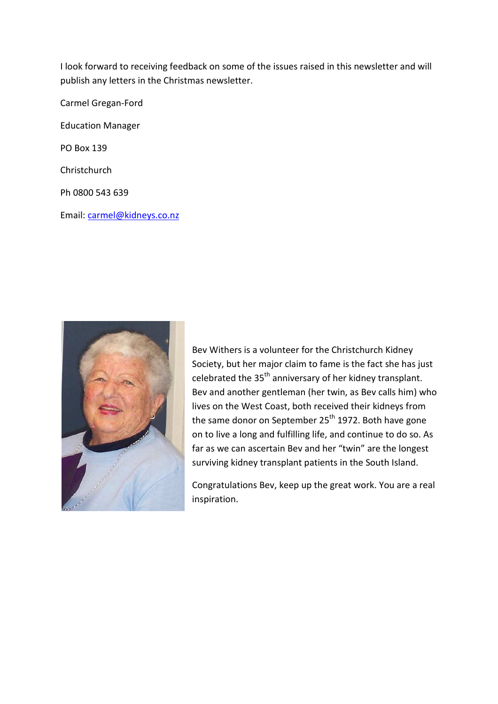I look forward to receiving feedback on some of the issues raised in this newsletter and will publish any letters in the Christmas newsletter.

Carmel Gregan-Ford Education Manager PO Box 139 **Christchurch** Ph 0800 543 639

Email: carmel@kidneys.co.nz



Bev Withers is a volunteer for the Christchurch Kidney Society, but her major claim to fame is the fact she has just celebrated the 35<sup>th</sup> anniversary of her kidney transplant. Bev and another gentleman (her twin, as Bev calls him) who lives on the West Coast, both received their kidneys from the same donor on September 25<sup>th</sup> 1972. Both have gone on to live a long and fulfilling life, and continue to do so. As far as we can ascertain Bev and her "twin" are the longest surviving kidney transplant patients in the South Island.

Congratulations Bev, keep up the great work. You are a real inspiration.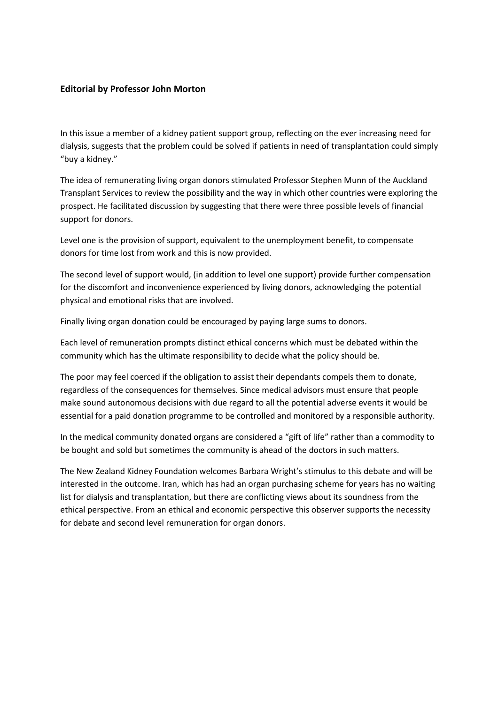#### Editorial by Professor John Morton

In this issue a member of a kidney patient support group, reflecting on the ever increasing need for dialysis, suggests that the problem could be solved if patients in need of transplantation could simply "buy a kidney."

The idea of remunerating living organ donors stimulated Professor Stephen Munn of the Auckland Transplant Services to review the possibility and the way in which other countries were exploring the prospect. He facilitated discussion by suggesting that there were three possible levels of financial support for donors.

Level one is the provision of support, equivalent to the unemployment benefit, to compensate donors for time lost from work and this is now provided.

The second level of support would, (in addition to level one support) provide further compensation for the discomfort and inconvenience experienced by living donors, acknowledging the potential physical and emotional risks that are involved.

Finally living organ donation could be encouraged by paying large sums to donors.

Each level of remuneration prompts distinct ethical concerns which must be debated within the community which has the ultimate responsibility to decide what the policy should be.

The poor may feel coerced if the obligation to assist their dependants compels them to donate, regardless of the consequences for themselves. Since medical advisors must ensure that people make sound autonomous decisions with due regard to all the potential adverse events it would be essential for a paid donation programme to be controlled and monitored by a responsible authority.

In the medical community donated organs are considered a "gift of life" rather than a commodity to be bought and sold but sometimes the community is ahead of the doctors in such matters.

The New Zealand Kidney Foundation welcomes Barbara Wright's stimulus to this debate and will be interested in the outcome. Iran, which has had an organ purchasing scheme for years has no waiting list for dialysis and transplantation, but there are conflicting views about its soundness from the ethical perspective. From an ethical and economic perspective this observer supports the necessity for debate and second level remuneration for organ donors.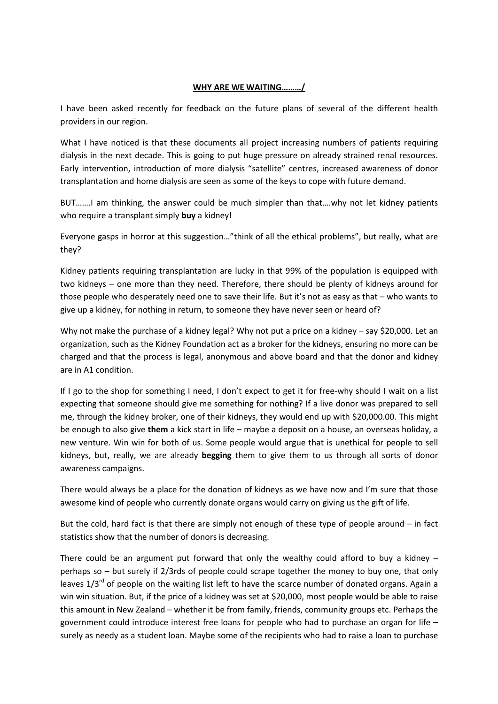#### WHY ARE WE WAITING………/

I have been asked recently for feedback on the future plans of several of the different health providers in our region.

What I have noticed is that these documents all project increasing numbers of patients requiring dialysis in the next decade. This is going to put huge pressure on already strained renal resources. Early intervention, introduction of more dialysis "satellite" centres, increased awareness of donor transplantation and home dialysis are seen as some of the keys to cope with future demand.

BUT…….I am thinking, the answer could be much simpler than that….why not let kidney patients who require a transplant simply **buy** a kidney!

Everyone gasps in horror at this suggestion…"think of all the ethical problems", but really, what are they?

Kidney patients requiring transplantation are lucky in that 99% of the population is equipped with two kidneys – one more than they need. Therefore, there should be plenty of kidneys around for those people who desperately need one to save their life. But it's not as easy as that – who wants to give up a kidney, for nothing in return, to someone they have never seen or heard of?

Why not make the purchase of a kidney legal? Why not put a price on a kidney – say \$20,000. Let an organization, such as the Kidney Foundation act as a broker for the kidneys, ensuring no more can be charged and that the process is legal, anonymous and above board and that the donor and kidney are in A1 condition.

If I go to the shop for something I need, I don't expect to get it for free-why should I wait on a list expecting that someone should give me something for nothing? If a live donor was prepared to sell me, through the kidney broker, one of their kidneys, they would end up with \$20,000.00. This might be enough to also give them a kick start in life – maybe a deposit on a house, an overseas holiday, a new venture. Win win for both of us. Some people would argue that is unethical for people to sell kidneys, but, really, we are already begging them to give them to us through all sorts of donor awareness campaigns.

There would always be a place for the donation of kidneys as we have now and I'm sure that those awesome kind of people who currently donate organs would carry on giving us the gift of life.

But the cold, hard fact is that there are simply not enough of these type of people around – in fact statistics show that the number of donors is decreasing.

There could be an argument put forward that only the wealthy could afford to buy a kidney  $$ perhaps so – but surely if 2/3rds of people could scrape together the money to buy one, that only leaves  $1/3^{rd}$  of people on the waiting list left to have the scarce number of donated organs. Again a win win situation. But, if the price of a kidney was set at \$20,000, most people would be able to raise this amount in New Zealand – whether it be from family, friends, community groups etc. Perhaps the government could introduce interest free loans for people who had to purchase an organ for life – surely as needy as a student loan. Maybe some of the recipients who had to raise a loan to purchase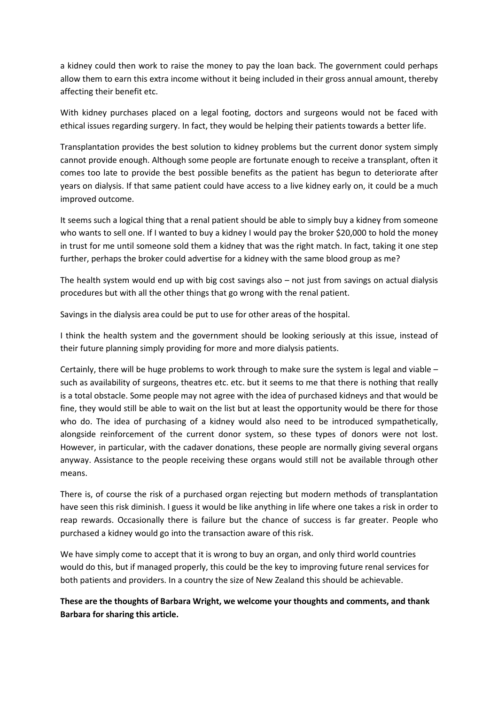a kidney could then work to raise the money to pay the loan back. The government could perhaps allow them to earn this extra income without it being included in their gross annual amount, thereby affecting their benefit etc.

With kidney purchases placed on a legal footing, doctors and surgeons would not be faced with ethical issues regarding surgery. In fact, they would be helping their patients towards a better life.

Transplantation provides the best solution to kidney problems but the current donor system simply cannot provide enough. Although some people are fortunate enough to receive a transplant, often it comes too late to provide the best possible benefits as the patient has begun to deteriorate after years on dialysis. If that same patient could have access to a live kidney early on, it could be a much improved outcome.

It seems such a logical thing that a renal patient should be able to simply buy a kidney from someone who wants to sell one. If I wanted to buy a kidney I would pay the broker \$20,000 to hold the money in trust for me until someone sold them a kidney that was the right match. In fact, taking it one step further, perhaps the broker could advertise for a kidney with the same blood group as me?

The health system would end up with big cost savings also – not just from savings on actual dialysis procedures but with all the other things that go wrong with the renal patient.

Savings in the dialysis area could be put to use for other areas of the hospital.

I think the health system and the government should be looking seriously at this issue, instead of their future planning simply providing for more and more dialysis patients.

Certainly, there will be huge problems to work through to make sure the system is legal and viable – such as availability of surgeons, theatres etc. etc. but it seems to me that there is nothing that really is a total obstacle. Some people may not agree with the idea of purchased kidneys and that would be fine, they would still be able to wait on the list but at least the opportunity would be there for those who do. The idea of purchasing of a kidney would also need to be introduced sympathetically, alongside reinforcement of the current donor system, so these types of donors were not lost. However, in particular, with the cadaver donations, these people are normally giving several organs anyway. Assistance to the people receiving these organs would still not be available through other means.

There is, of course the risk of a purchased organ rejecting but modern methods of transplantation have seen this risk diminish. I guess it would be like anything in life where one takes a risk in order to reap rewards. Occasionally there is failure but the chance of success is far greater. People who purchased a kidney would go into the transaction aware of this risk.

We have simply come to accept that it is wrong to buy an organ, and only third world countries would do this, but if managed properly, this could be the key to improving future renal services for both patients and providers. In a country the size of New Zealand this should be achievable.

These are the thoughts of Barbara Wright, we welcome your thoughts and comments, and thank Barbara for sharing this article.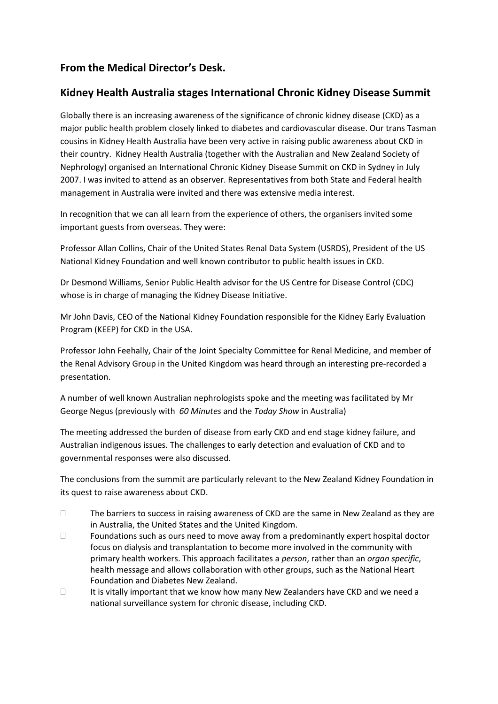# From the Medical Director's Desk.

## Kidney Health Australia stages International Chronic Kidney Disease Summit

Globally there is an increasing awareness of the significance of chronic kidney disease (CKD) as a major public health problem closely linked to diabetes and cardiovascular disease. Our trans Tasman cousins in Kidney Health Australia have been very active in raising public awareness about CKD in their country. Kidney Health Australia (together with the Australian and New Zealand Society of Nephrology) organised an International Chronic Kidney Disease Summit on CKD in Sydney in July 2007. I was invited to attend as an observer. Representatives from both State and Federal health management in Australia were invited and there was extensive media interest.

In recognition that we can all learn from the experience of others, the organisers invited some important guests from overseas. They were:

Professor Allan Collins, Chair of the United States Renal Data System (USRDS), President of the US National Kidney Foundation and well known contributor to public health issues in CKD.

Dr Desmond Williams, Senior Public Health advisor for the US Centre for Disease Control (CDC) whose is in charge of managing the Kidney Disease Initiative.

Mr John Davis, CEO of the National Kidney Foundation responsible for the Kidney Early Evaluation Program (KEEP) for CKD in the USA.

Professor John Feehally, Chair of the Joint Specialty Committee for Renal Medicine, and member of the Renal Advisory Group in the United Kingdom was heard through an interesting pre-recorded a presentation.

A number of well known Australian nephrologists spoke and the meeting was facilitated by Mr George Negus (previously with 60 Minutes and the Today Show in Australia)

The meeting addressed the burden of disease from early CKD and end stage kidney failure, and Australian indigenous issues. The challenges to early detection and evaluation of CKD and to governmental responses were also discussed.

The conclusions from the summit are particularly relevant to the New Zealand Kidney Foundation in its quest to raise awareness about CKD.

 The barriers to success in raising awareness of CKD are the same in New Zealand as they are in Australia, the United States and the United Kingdom.

 Foundations such as ours need to move away from a predominantly expert hospital doctor focus on dialysis and transplantation to become more involved in the community with primary health workers. This approach facilitates a *person*, rather than an *organ specific*, health message and allows collaboration with other groups, such as the National Heart Foundation and Diabetes New Zealand.

 It is vitally important that we know how many New Zealanders have CKD and we need a national surveillance system for chronic disease, including CKD.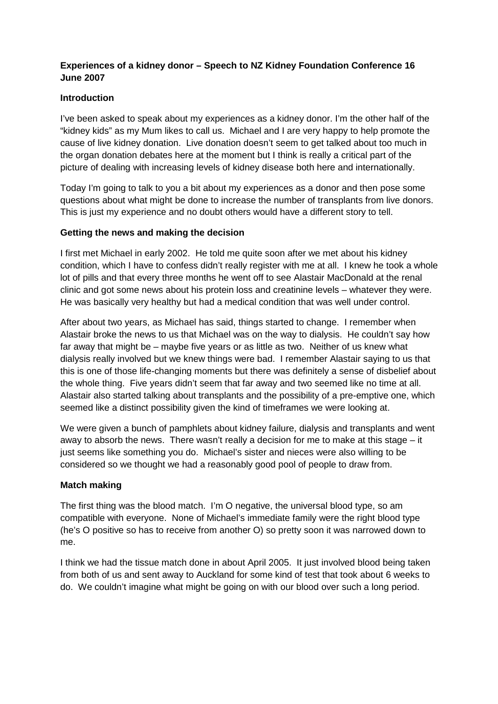## **Experiences of a kidney donor – Speech to NZ Kidney Foundation Conference 16 June 2007**

#### **Introduction**

I've been asked to speak about my experiences as a kidney donor. I'm the other half of the "kidney kids" as my Mum likes to call us. Michael and I are very happy to help promote the cause of live kidney donation. Live donation doesn't seem to get talked about too much in the organ donation debates here at the moment but I think is really a critical part of the picture of dealing with increasing levels of kidney disease both here and internationally.

Today I'm going to talk to you a bit about my experiences as a donor and then pose some questions about what might be done to increase the number of transplants from live donors. This is just my experience and no doubt others would have a different story to tell.

#### **Getting the news and making the decision**

I first met Michael in early 2002. He told me quite soon after we met about his kidney condition, which I have to confess didn't really register with me at all. I knew he took a whole lot of pills and that every three months he went off to see Alastair MacDonald at the renal clinic and got some news about his protein loss and creatinine levels – whatever they were. He was basically very healthy but had a medical condition that was well under control.

After about two years, as Michael has said, things started to change. I remember when Alastair broke the news to us that Michael was on the way to dialysis. He couldn't say how far away that might be – maybe five years or as little as two. Neither of us knew what dialysis really involved but we knew things were bad. I remember Alastair saying to us that this is one of those life-changing moments but there was definitely a sense of disbelief about the whole thing. Five years didn't seem that far away and two seemed like no time at all. Alastair also started talking about transplants and the possibility of a pre-emptive one, which seemed like a distinct possibility given the kind of timeframes we were looking at.

We were given a bunch of pamphlets about kidney failure, dialysis and transplants and went away to absorb the news. There wasn't really a decision for me to make at this stage – it just seems like something you do. Michael's sister and nieces were also willing to be considered so we thought we had a reasonably good pool of people to draw from.

#### **Match making**

The first thing was the blood match. I'm O negative, the universal blood type, so am compatible with everyone. None of Michael's immediate family were the right blood type (he's O positive so has to receive from another O) so pretty soon it was narrowed down to me.

I think we had the tissue match done in about April 2005. It just involved blood being taken from both of us and sent away to Auckland for some kind of test that took about 6 weeks to do. We couldn't imagine what might be going on with our blood over such a long period.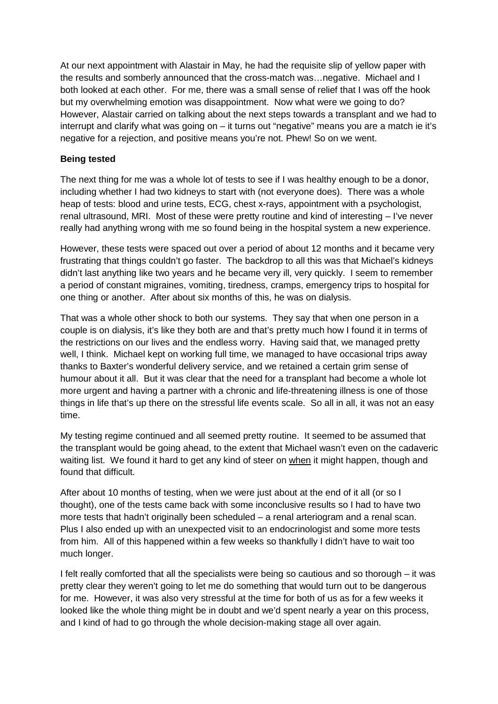At our next appointment with Alastair in May, he had the requisite slip of yellow paper with the results and somberly announced that the cross-match was…negative. Michael and I both looked at each other. For me, there was a small sense of relief that I was off the hook but my overwhelming emotion was disappointment. Now what were we going to do? However, Alastair carried on talking about the next steps towards a transplant and we had to interrupt and clarify what was going on – it turns out "negative" means you are a match ie it's negative for a rejection, and positive means you're not. Phew! So on we went.

#### **Being tested**

The next thing for me was a whole lot of tests to see if I was healthy enough to be a donor, including whether I had two kidneys to start with (not everyone does). There was a whole heap of tests: blood and urine tests, ECG, chest x-rays, appointment with a psychologist, renal ultrasound, MRI. Most of these were pretty routine and kind of interesting – I've never really had anything wrong with me so found being in the hospital system a new experience.

However, these tests were spaced out over a period of about 12 months and it became very frustrating that things couldn't go faster. The backdrop to all this was that Michael's kidneys didn't last anything like two years and he became very ill, very quickly. I seem to remember a period of constant migraines, vomiting, tiredness, cramps, emergency trips to hospital for one thing or another. After about six months of this, he was on dialysis.

That was a whole other shock to both our systems. They say that when one person in a couple is on dialysis, it's like they both are and that's pretty much how I found it in terms of the restrictions on our lives and the endless worry. Having said that, we managed pretty well, I think. Michael kept on working full time, we managed to have occasional trips away thanks to Baxter's wonderful delivery service, and we retained a certain grim sense of humour about it all. But it was clear that the need for a transplant had become a whole lot more urgent and having a partner with a chronic and life-threatening illness is one of those things in life that's up there on the stressful life events scale. So all in all, it was not an easy time.

My testing regime continued and all seemed pretty routine. It seemed to be assumed that the transplant would be going ahead, to the extent that Michael wasn't even on the cadaveric waiting list. We found it hard to get any kind of steer on when it might happen, though and found that difficult.

After about 10 months of testing, when we were just about at the end of it all (or so I thought), one of the tests came back with some inconclusive results so I had to have two more tests that hadn't originally been scheduled – a renal arteriogram and a renal scan. Plus I also ended up with an unexpected visit to an endocrinologist and some more tests from him. All of this happened within a few weeks so thankfully I didn't have to wait too much longer.

I felt really comforted that all the specialists were being so cautious and so thorough – it was pretty clear they weren't going to let me do something that would turn out to be dangerous for me. However, it was also very stressful at the time for both of us as for a few weeks it looked like the whole thing might be in doubt and we'd spent nearly a year on this process, and I kind of had to go through the whole decision-making stage all over again.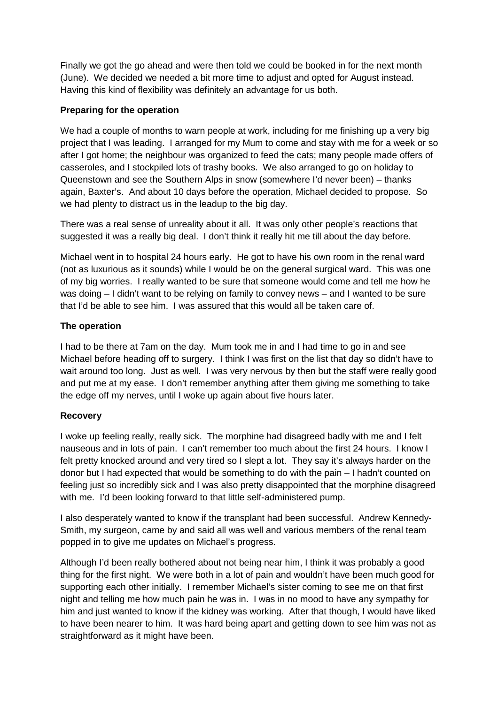Finally we got the go ahead and were then told we could be booked in for the next month (June). We decided we needed a bit more time to adjust and opted for August instead. Having this kind of flexibility was definitely an advantage for us both.

## **Preparing for the operation**

We had a couple of months to warn people at work, including for me finishing up a very big project that I was leading. I arranged for my Mum to come and stay with me for a week or so after I got home; the neighbour was organized to feed the cats; many people made offers of casseroles, and I stockpiled lots of trashy books. We also arranged to go on holiday to Queenstown and see the Southern Alps in snow (somewhere I'd never been) – thanks again, Baxter's. And about 10 days before the operation, Michael decided to propose. So we had plenty to distract us in the leadup to the big day.

There was a real sense of unreality about it all. It was only other people's reactions that suggested it was a really big deal. I don't think it really hit me till about the day before.

Michael went in to hospital 24 hours early. He got to have his own room in the renal ward (not as luxurious as it sounds) while I would be on the general surgical ward. This was one of my big worries. I really wanted to be sure that someone would come and tell me how he was doing – I didn't want to be relying on family to convey news – and I wanted to be sure that I'd be able to see him. I was assured that this would all be taken care of.

## **The operation**

I had to be there at 7am on the day. Mum took me in and I had time to go in and see Michael before heading off to surgery. I think I was first on the list that day so didn't have to wait around too long. Just as well. I was very nervous by then but the staff were really good and put me at my ease. I don't remember anything after them giving me something to take the edge off my nerves, until I woke up again about five hours later.

## **Recovery**

I woke up feeling really, really sick. The morphine had disagreed badly with me and I felt nauseous and in lots of pain. I can't remember too much about the first 24 hours. I know I felt pretty knocked around and very tired so I slept a lot. They say it's always harder on the donor but I had expected that would be something to do with the pain – I hadn't counted on feeling just so incredibly sick and I was also pretty disappointed that the morphine disagreed with me. I'd been looking forward to that little self-administered pump.

I also desperately wanted to know if the transplant had been successful. Andrew Kennedy-Smith, my surgeon, came by and said all was well and various members of the renal team popped in to give me updates on Michael's progress.

Although I'd been really bothered about not being near him, I think it was probably a good thing for the first night. We were both in a lot of pain and wouldn't have been much good for supporting each other initially. I remember Michael's sister coming to see me on that first night and telling me how much pain he was in. I was in no mood to have any sympathy for him and just wanted to know if the kidney was working. After that though, I would have liked to have been nearer to him. It was hard being apart and getting down to see him was not as straightforward as it might have been.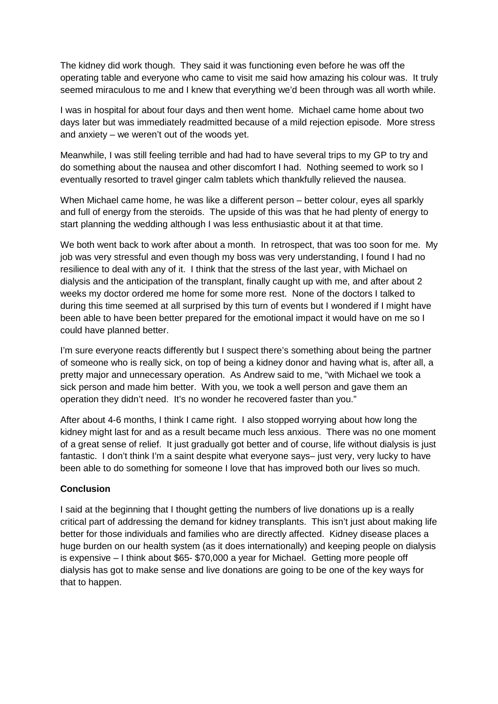The kidney did work though. They said it was functioning even before he was off the operating table and everyone who came to visit me said how amazing his colour was. It truly seemed miraculous to me and I knew that everything we'd been through was all worth while.

I was in hospital for about four days and then went home. Michael came home about two days later but was immediately readmitted because of a mild rejection episode. More stress and anxiety – we weren't out of the woods yet.

Meanwhile, I was still feeling terrible and had had to have several trips to my GP to try and do something about the nausea and other discomfort I had. Nothing seemed to work so I eventually resorted to travel ginger calm tablets which thankfully relieved the nausea.

When Michael came home, he was like a different person – better colour, eyes all sparkly and full of energy from the steroids. The upside of this was that he had plenty of energy to start planning the wedding although I was less enthusiastic about it at that time.

We both went back to work after about a month. In retrospect, that was too soon for me. My job was very stressful and even though my boss was very understanding, I found I had no resilience to deal with any of it. I think that the stress of the last year, with Michael on dialysis and the anticipation of the transplant, finally caught up with me, and after about 2 weeks my doctor ordered me home for some more rest. None of the doctors I talked to during this time seemed at all surprised by this turn of events but I wondered if I might have been able to have been better prepared for the emotional impact it would have on me so I could have planned better.

I'm sure everyone reacts differently but I suspect there's something about being the partner of someone who is really sick, on top of being a kidney donor and having what is, after all, a pretty major and unnecessary operation. As Andrew said to me, "with Michael we took a sick person and made him better. With you, we took a well person and gave them an operation they didn't need. It's no wonder he recovered faster than you."

After about 4-6 months, I think I came right. I also stopped worrying about how long the kidney might last for and as a result became much less anxious. There was no one moment of a great sense of relief. It just gradually got better and of course, life without dialysis is just fantastic. I don't think I'm a saint despite what everyone says– just very, very lucky to have been able to do something for someone I love that has improved both our lives so much.

## **Conclusion**

I said at the beginning that I thought getting the numbers of live donations up is a really critical part of addressing the demand for kidney transplants. This isn't just about making life better for those individuals and families who are directly affected. Kidney disease places a huge burden on our health system (as it does internationally) and keeping people on dialysis is expensive – I think about \$65- \$70,000 a year for Michael. Getting more people off dialysis has got to make sense and live donations are going to be one of the key ways for that to happen.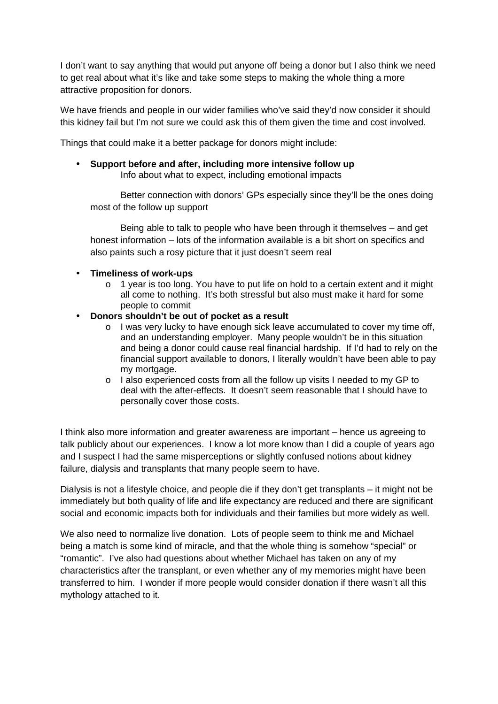I don't want to say anything that would put anyone off being a donor but I also think we need to get real about what it's like and take some steps to making the whole thing a more attractive proposition for donors.

We have friends and people in our wider families who've said they'd now consider it should this kidney fail but I'm not sure we could ask this of them given the time and cost involved.

Things that could make it a better package for donors might include:

• **Support before and after, including more intensive follow up**  Info about what to expect, including emotional impacts

 Better connection with donors' GPs especially since they'll be the ones doing most of the follow up support

 Being able to talk to people who have been through it themselves – and get honest information – lots of the information available is a bit short on specifics and also paints such a rosy picture that it just doesn't seem real

#### • **Timeliness of work-ups**

 $\circ$  1 year is too long. You have to put life on hold to a certain extent and it might all come to nothing. It's both stressful but also must make it hard for some people to commit

## • **Donors shouldn't be out of pocket as a result**

- o I was very lucky to have enough sick leave accumulated to cover my time off, and an understanding employer. Many people wouldn't be in this situation and being a donor could cause real financial hardship. If I'd had to rely on the financial support available to donors, I literally wouldn't have been able to pay my mortgage.
- o I also experienced costs from all the follow up visits I needed to my GP to deal with the after-effects. It doesn't seem reasonable that I should have to personally cover those costs.

I think also more information and greater awareness are important – hence us agreeing to talk publicly about our experiences. I know a lot more know than I did a couple of years ago and I suspect I had the same misperceptions or slightly confused notions about kidney failure, dialysis and transplants that many people seem to have.

Dialysis is not a lifestyle choice, and people die if they don't get transplants – it might not be immediately but both quality of life and life expectancy are reduced and there are significant social and economic impacts both for individuals and their families but more widely as well.

We also need to normalize live donation. Lots of people seem to think me and Michael being a match is some kind of miracle, and that the whole thing is somehow "special" or "romantic". I've also had questions about whether Michael has taken on any of my characteristics after the transplant, or even whether any of my memories might have been transferred to him. I wonder if more people would consider donation if there wasn't all this mythology attached to it.